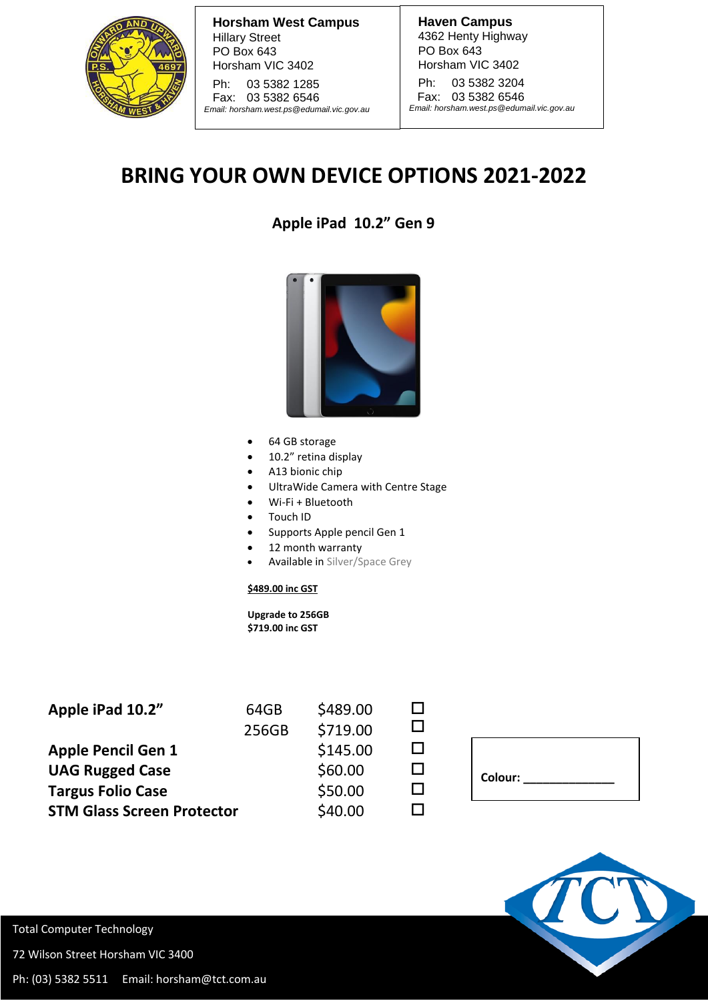

**Horsham West Campus** Hillary Street PO Box 643 Horsham VIC 3402

Ph: 03 5382 1285 Fax: 03 5382 6546 *Email: [horsham.west.ps@edumail.vic.gov.au](mailto:horsham.west.ps@edumail.vic.gov.au)* **Haven Campus** 4362 Henty Highway PO Box 643 Horsham VIC 3402

Ph: 03 5382 3204 Fax: 03 5382 6546 *Email[: horsham.west.ps@edumail.vic.gov.au](mailto:horsham.west.ps@edumail.vic.gov.au)*

## **BRING YOUR OWN DEVICE OPTIONS 2021-2022**

**Apple iPad 10.2" Gen 9**



- 64 GB storage
- 10.2" retina display
- A13 bionic chip
- UltraWide Camera with Centre Stage
- Wi-Fi + Bluetooth
- Touch ID
- Supports Apple pencil Gen 1
- 12 month warranty
- Available in Silver/Space Grey

## **\$489.00 inc GST**

 **Upgrade to 256GB \$719.00 inc GST**

| 64GB  | \$489.00 |  |
|-------|----------|--|
| 256GB | \$719.00 |  |
|       | \$145.00 |  |
|       | \$60.00  |  |
|       | \$50.00  |  |
|       | \$40.00  |  |
|       |          |  |

| Colour: |  |
|---------|--|
|         |  |
|         |  |



Total Computer Technology

72 Wilson Street Horsham VIC 3400

Ph: (03) 5382 5511 Email: horsham@tct.com.au